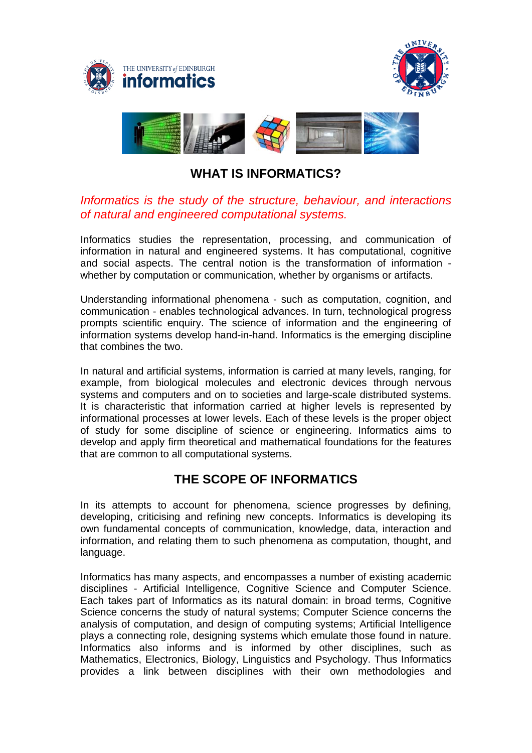





## **WHAT IS INFORMATICS?**

## *Informatics is the study of the structure, behaviour, and interactions of natural and engineered computational systems.*

Informatics studies the representation, processing, and communication of information in natural and engineered systems. It has computational, cognitive and social aspects. The central notion is the transformation of information whether by computation or communication, whether by organisms or artifacts.

Understanding informational phenomena - such as computation, cognition, and communication - enables technological advances. In turn, technological progress prompts scientific enquiry. The science of information and the engineering of information systems develop hand-in-hand. Informatics is the emerging discipline that combines the two.

In natural and artificial systems, information is carried at many levels, ranging, for example, from biological molecules and electronic devices through nervous systems and computers and on to societies and large-scale distributed systems. It is characteristic that information carried at higher levels is represented by informational processes at lower levels. Each of these levels is the proper object of study for some discipline of science or engineering. Informatics aims to develop and apply firm theoretical and mathematical foundations for the features that are common to all computational systems.

## **THE SCOPE OF INFORMATICS**

In its attempts to account for phenomena, science progresses by defining, developing, criticising and refining new concepts. Informatics is developing its own fundamental concepts of communication, knowledge, data, interaction and information, and relating them to such phenomena as computation, thought, and language.

Informatics has many aspects, and encompasses a number of existing academic disciplines - Artificial Intelligence, Cognitive Science and Computer Science. Each takes part of Informatics as its natural domain: in broad terms, Cognitive Science concerns the study of natural systems; Computer Science concerns the analysis of computation, and design of computing systems; Artificial Intelligence plays a connecting role, designing systems which emulate those found in nature. Informatics also informs and is informed by other disciplines, such as Mathematics, Electronics, Biology, Linguistics and Psychology. Thus Informatics provides a link between disciplines with their own methodologies and